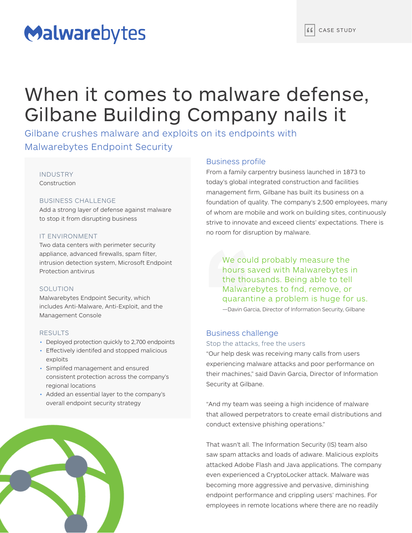# Malwarebytes

## When it comes to malware defense, Gilbane Building Company nails it

Gilbane crushes malware and exploits on its endpoints with Malwarebytes Endpoint Security

## INDUSTRY Construction

## BUSINESS CHALLENGE

Add a strong layer of defense against malware to stop it from disrupting business

## IT ENVIRONMENT

Two data centers with perimeter security appliance, advanced firewalls, spam filter, intrusion detection system, Microsoft Endpoint Protection antivirus

## **SOLUTION**

Malwarebytes Endpoint Security, which includes Anti-Malware, Anti-Exploit, and the Management Console

### RESULTS

- Deployed protection quickly to 2,700 endpoints
- Effectively identifed and stopped malicious exploits
- Simplifed management and ensured consistent protection across the company's regional locations
- Added an essential layer to the company's overall endpoint security strategy



## Business profile

From a family carpentry business launched in 1873 to today's global integrated construction and facilities management firm, Gilbane has built its business on a foundation of quality. The company's 2,500 employees, many of whom are mobile and work on building sites, continuously strive to innovate and exceed clients' expectations. There is no room for disruption by malware.

hours saved with Malwarebytes in the thousands. Being able to tell We could probably measure the Malwarebytes to fnd, remove, or quarantine a problem is huge for us. —Davin Garcia, Director of Information Security, Gilbane

## Business challenge

Stop the attacks, free the users

"Our help desk was receiving many calls from users experiencing malware attacks and poor performance on their machines," said Davin Garcia, Director of Information Security at Gilbane.

"And my team was seeing a high incidence of malware that allowed perpetrators to create email distributions and conduct extensive phishing operations."

That wasn't all. The Information Security (IS) team also saw spam attacks and loads of adware. Malicious exploits attacked Adobe Flash and Java applications. The company even experienced a CryptoLocker attack. Malware was becoming more aggressive and pervasive, diminishing endpoint performance and crippling users' machines. For employees in remote locations where there are no readily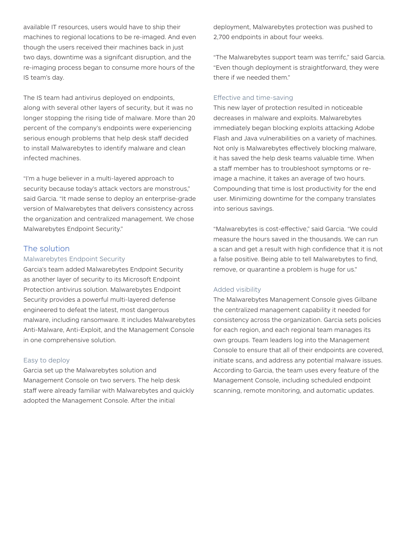available IT resources, users would have to ship their machines to regional locations to be re-imaged. And even though the users received their machines back in just two days, downtime was a signifcant disruption, and the re-imaging process began to consume more hours of the IS team's day.

The IS team had antivirus deployed on endpoints, along with several other layers of security, but it was no longer stopping the rising tide of malware. More than 20 percent of the company's endpoints were experiencing serious enough problems that help desk staff decided to install Malwarebytes to identify malware and clean infected machines.

"I'm a huge believer in a multi-layered approach to security because today's attack vectors are monstrous," said Garcia. "It made sense to deploy an enterprise-grade version of Malwarebytes that delivers consistency across the organization and centralized management. We chose Malwarebytes Endpoint Security."

## The solution

## Malwarebytes Endpoint Security

Garcia's team added Malwarebytes Endpoint Security as another layer of security to its Microsoft Endpoint Protection antivirus solution. Malwarebytes Endpoint Security provides a powerful multi-layered defense engineered to defeat the latest, most dangerous malware, including ransomware. It includes Malwarebytes Anti-Malware, Anti-Exploit, and the Management Console in one comprehensive solution.

## Easy to deploy

Garcia set up the Malwarebytes solution and Management Console on two servers. The help desk staff were already familiar with Malwarebytes and quickly adopted the Management Console. After the initial

deployment, Malwarebytes protection was pushed to 2,700 endpoints in about four weeks.

"The Malwarebytes support team was terrifc," said Garcia. "Even though deployment is straightforward, they were there if we needed them."

## Effective and time-saving

This new layer of protection resulted in noticeable decreases in malware and exploits. Malwarebytes immediately began blocking exploits attacking Adobe Flash and Java vulnerabilities on a variety of machines. Not only is Malwarebytes effectively blocking malware, it has saved the help desk teams valuable time. When a staff member has to troubleshoot symptoms or reimage a machine, it takes an average of two hours. Compounding that time is lost productivity for the end user. Minimizing downtime for the company translates into serious savings.

"Malwarebytes is cost-effective," said Garcia. "We could measure the hours saved in the thousands. We can run a scan and get a result with high confidence that it is not a false positive. Being able to tell Malwarebytes to find, remove, or quarantine a problem is huge for us."

### Added visibility

The Malwarebytes Management Console gives Gilbane the centralized management capability it needed for consistency across the organization. Garcia sets policies for each region, and each regional team manages its own groups. Team leaders log into the Management Console to ensure that all of their endpoints are covered, initiate scans, and address any potential malware issues. According to Garcia, the team uses every feature of the Management Console, including scheduled endpoint scanning, remote monitoring, and automatic updates.